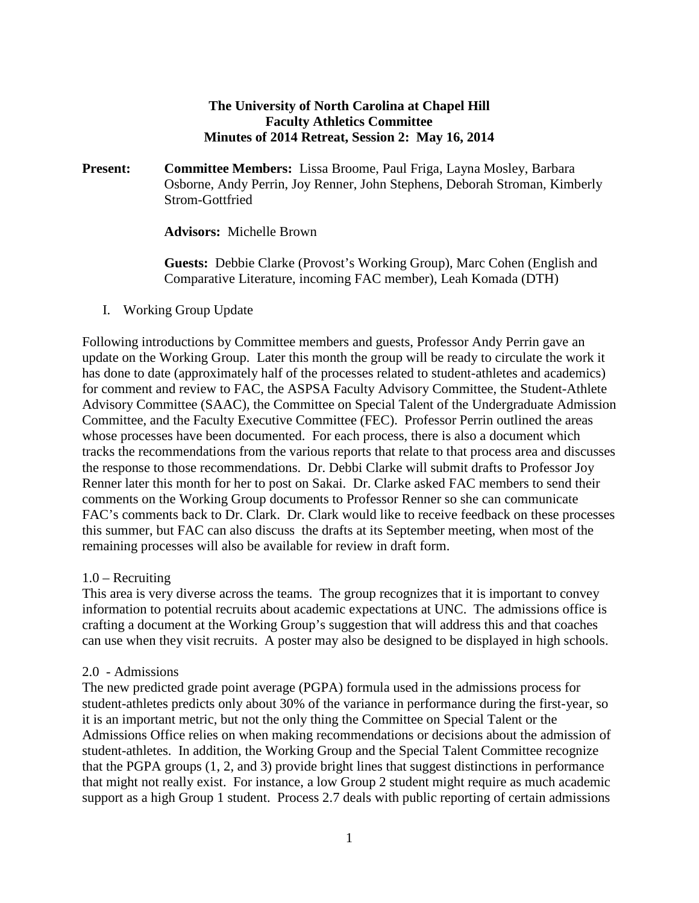#### **The University of North Carolina at Chapel Hill Faculty Athletics Committee Minutes of 2014 Retreat, Session 2: May 16, 2014**

**Present: Committee Members:** Lissa Broome, Paul Friga, Layna Mosley, Barbara Osborne, Andy Perrin, Joy Renner, John Stephens, Deborah Stroman, Kimberly Strom-Gottfried

**Advisors:** Michelle Brown

**Guests:** Debbie Clarke (Provost's Working Group), Marc Cohen (English and Comparative Literature, incoming FAC member), Leah Komada (DTH)

I. Working Group Update

Following introductions by Committee members and guests, Professor Andy Perrin gave an update on the Working Group. Later this month the group will be ready to circulate the work it has done to date (approximately half of the processes related to student-athletes and academics) for comment and review to FAC, the ASPSA Faculty Advisory Committee, the Student-Athlete Advisory Committee (SAAC), the Committee on Special Talent of the Undergraduate Admission Committee, and the Faculty Executive Committee (FEC). Professor Perrin outlined the areas whose processes have been documented. For each process, there is also a document which tracks the recommendations from the various reports that relate to that process area and discusses the response to those recommendations. Dr. Debbi Clarke will submit drafts to Professor Joy Renner later this month for her to post on Sakai. Dr. Clarke asked FAC members to send their comments on the Working Group documents to Professor Renner so she can communicate FAC's comments back to Dr. Clark. Dr. Clark would like to receive feedback on these processes this summer, but FAC can also discuss the drafts at its September meeting, when most of the remaining processes will also be available for review in draft form.

#### 1.0 – Recruiting

This area is very diverse across the teams. The group recognizes that it is important to convey information to potential recruits about academic expectations at UNC. The admissions office is crafting a document at the Working Group's suggestion that will address this and that coaches can use when they visit recruits. A poster may also be designed to be displayed in high schools.

#### 2.0 - Admissions

The new predicted grade point average (PGPA) formula used in the admissions process for student-athletes predicts only about 30% of the variance in performance during the first-year, so it is an important metric, but not the only thing the Committee on Special Talent or the Admissions Office relies on when making recommendations or decisions about the admission of student-athletes. In addition, the Working Group and the Special Talent Committee recognize that the PGPA groups (1, 2, and 3) provide bright lines that suggest distinctions in performance that might not really exist. For instance, a low Group 2 student might require as much academic support as a high Group 1 student. Process 2.7 deals with public reporting of certain admissions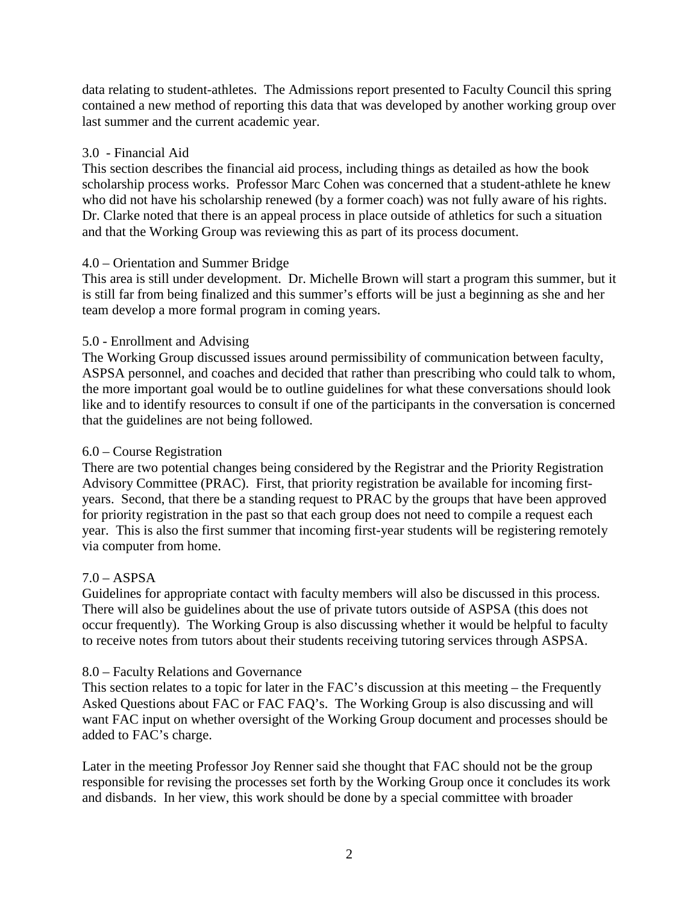data relating to student-athletes. The Admissions report presented to Faculty Council this spring contained a new method of reporting this data that was developed by another working group over last summer and the current academic year.

#### 3.0 - Financial Aid

This section describes the financial aid process, including things as detailed as how the book scholarship process works. Professor Marc Cohen was concerned that a student-athlete he knew who did not have his scholarship renewed (by a former coach) was not fully aware of his rights. Dr. Clarke noted that there is an appeal process in place outside of athletics for such a situation and that the Working Group was reviewing this as part of its process document.

### 4.0 – Orientation and Summer Bridge

This area is still under development. Dr. Michelle Brown will start a program this summer, but it is still far from being finalized and this summer's efforts will be just a beginning as she and her team develop a more formal program in coming years.

### 5.0 - Enrollment and Advising

The Working Group discussed issues around permissibility of communication between faculty, ASPSA personnel, and coaches and decided that rather than prescribing who could talk to whom, the more important goal would be to outline guidelines for what these conversations should look like and to identify resources to consult if one of the participants in the conversation is concerned that the guidelines are not being followed.

#### 6.0 – Course Registration

There are two potential changes being considered by the Registrar and the Priority Registration Advisory Committee (PRAC). First, that priority registration be available for incoming firstyears. Second, that there be a standing request to PRAC by the groups that have been approved for priority registration in the past so that each group does not need to compile a request each year. This is also the first summer that incoming first-year students will be registering remotely via computer from home.

## $7.0 - ASPSA$

Guidelines for appropriate contact with faculty members will also be discussed in this process. There will also be guidelines about the use of private tutors outside of ASPSA (this does not occur frequently). The Working Group is also discussing whether it would be helpful to faculty to receive notes from tutors about their students receiving tutoring services through ASPSA.

#### 8.0 – Faculty Relations and Governance

This section relates to a topic for later in the FAC's discussion at this meeting – the Frequently Asked Questions about FAC or FAC FAQ's. The Working Group is also discussing and will want FAC input on whether oversight of the Working Group document and processes should be added to FAC's charge.

Later in the meeting Professor Joy Renner said she thought that FAC should not be the group responsible for revising the processes set forth by the Working Group once it concludes its work and disbands. In her view, this work should be done by a special committee with broader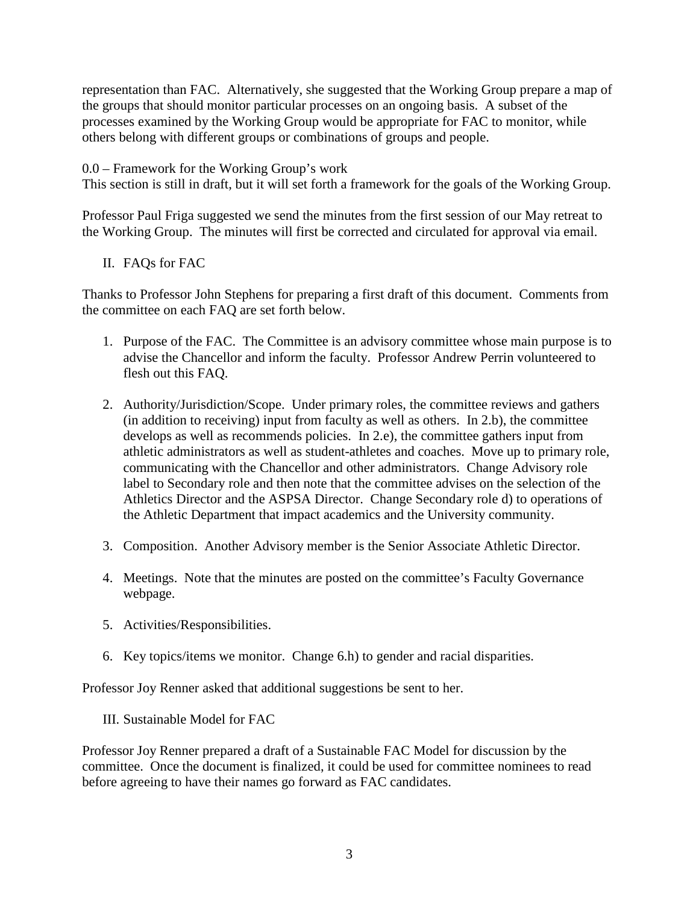representation than FAC. Alternatively, she suggested that the Working Group prepare a map of the groups that should monitor particular processes on an ongoing basis. A subset of the processes examined by the Working Group would be appropriate for FAC to monitor, while others belong with different groups or combinations of groups and people.

0.0 – Framework for the Working Group's work

This section is still in draft, but it will set forth a framework for the goals of the Working Group.

Professor Paul Friga suggested we send the minutes from the first session of our May retreat to the Working Group. The minutes will first be corrected and circulated for approval via email.

II. FAQs for FAC

Thanks to Professor John Stephens for preparing a first draft of this document. Comments from the committee on each FAQ are set forth below.

- 1. Purpose of the FAC. The Committee is an advisory committee whose main purpose is to advise the Chancellor and inform the faculty. Professor Andrew Perrin volunteered to flesh out this FAQ.
- 2. Authority/Jurisdiction/Scope. Under primary roles, the committee reviews and gathers (in addition to receiving) input from faculty as well as others. In 2.b), the committee develops as well as recommends policies. In 2.e), the committee gathers input from athletic administrators as well as student-athletes and coaches. Move up to primary role, communicating with the Chancellor and other administrators. Change Advisory role label to Secondary role and then note that the committee advises on the selection of the Athletics Director and the ASPSA Director. Change Secondary role d) to operations of the Athletic Department that impact academics and the University community.
- 3. Composition. Another Advisory member is the Senior Associate Athletic Director.
- 4. Meetings. Note that the minutes are posted on the committee's Faculty Governance webpage.
- 5. Activities/Responsibilities.
- 6. Key topics/items we monitor. Change 6.h) to gender and racial disparities.

Professor Joy Renner asked that additional suggestions be sent to her.

III. Sustainable Model for FAC

Professor Joy Renner prepared a draft of a Sustainable FAC Model for discussion by the committee. Once the document is finalized, it could be used for committee nominees to read before agreeing to have their names go forward as FAC candidates.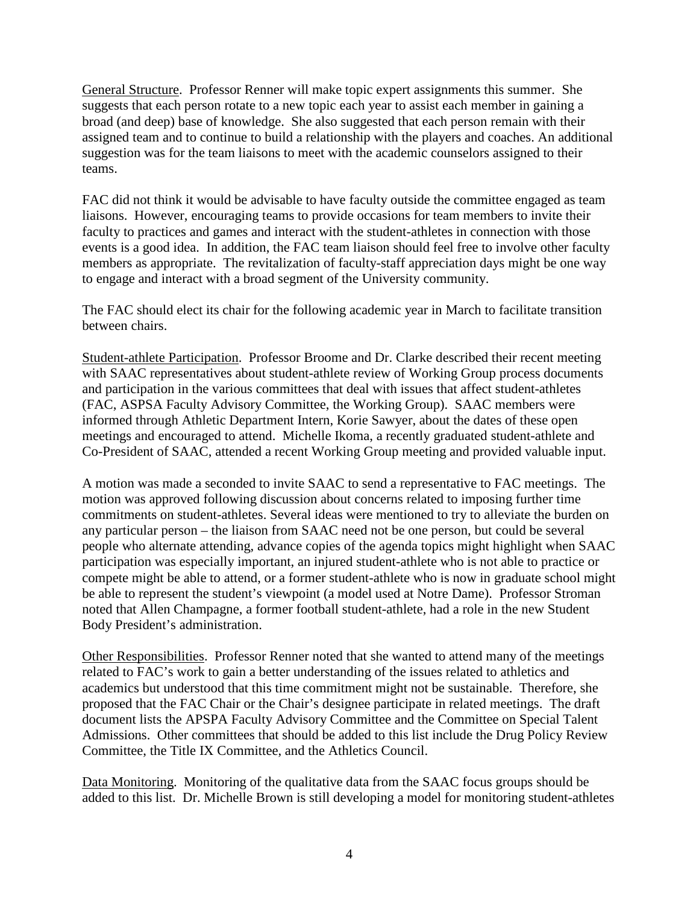General Structure. Professor Renner will make topic expert assignments this summer. She suggests that each person rotate to a new topic each year to assist each member in gaining a broad (and deep) base of knowledge. She also suggested that each person remain with their assigned team and to continue to build a relationship with the players and coaches. An additional suggestion was for the team liaisons to meet with the academic counselors assigned to their teams.

FAC did not think it would be advisable to have faculty outside the committee engaged as team liaisons. However, encouraging teams to provide occasions for team members to invite their faculty to practices and games and interact with the student-athletes in connection with those events is a good idea. In addition, the FAC team liaison should feel free to involve other faculty members as appropriate. The revitalization of faculty-staff appreciation days might be one way to engage and interact with a broad segment of the University community.

The FAC should elect its chair for the following academic year in March to facilitate transition between chairs.

Student-athlete Participation. Professor Broome and Dr. Clarke described their recent meeting with SAAC representatives about student-athlete review of Working Group process documents and participation in the various committees that deal with issues that affect student-athletes (FAC, ASPSA Faculty Advisory Committee, the Working Group). SAAC members were informed through Athletic Department Intern, Korie Sawyer, about the dates of these open meetings and encouraged to attend. Michelle Ikoma, a recently graduated student-athlete and Co-President of SAAC, attended a recent Working Group meeting and provided valuable input.

A motion was made a seconded to invite SAAC to send a representative to FAC meetings. The motion was approved following discussion about concerns related to imposing further time commitments on student-athletes. Several ideas were mentioned to try to alleviate the burden on any particular person – the liaison from SAAC need not be one person, but could be several people who alternate attending, advance copies of the agenda topics might highlight when SAAC participation was especially important, an injured student-athlete who is not able to practice or compete might be able to attend, or a former student-athlete who is now in graduate school might be able to represent the student's viewpoint (a model used at Notre Dame). Professor Stroman noted that Allen Champagne, a former football student-athlete, had a role in the new Student Body President's administration.

Other Responsibilities. Professor Renner noted that she wanted to attend many of the meetings related to FAC's work to gain a better understanding of the issues related to athletics and academics but understood that this time commitment might not be sustainable. Therefore, she proposed that the FAC Chair or the Chair's designee participate in related meetings. The draft document lists the APSPA Faculty Advisory Committee and the Committee on Special Talent Admissions. Other committees that should be added to this list include the Drug Policy Review Committee, the Title IX Committee, and the Athletics Council.

Data Monitoring. Monitoring of the qualitative data from the SAAC focus groups should be added to this list. Dr. Michelle Brown is still developing a model for monitoring student-athletes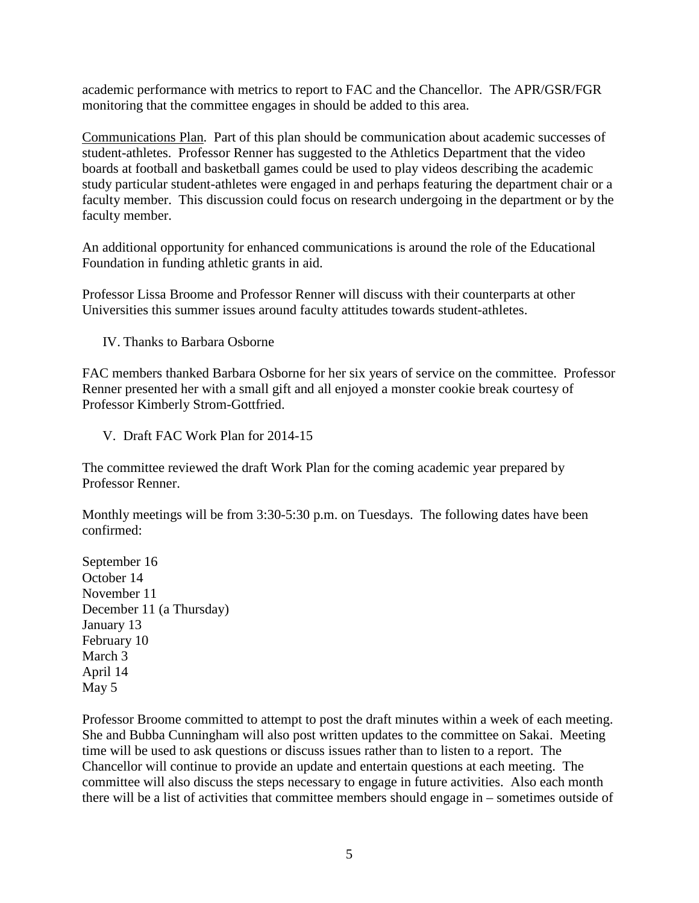academic performance with metrics to report to FAC and the Chancellor. The APR/GSR/FGR monitoring that the committee engages in should be added to this area.

Communications Plan. Part of this plan should be communication about academic successes of student-athletes. Professor Renner has suggested to the Athletics Department that the video boards at football and basketball games could be used to play videos describing the academic study particular student-athletes were engaged in and perhaps featuring the department chair or a faculty member. This discussion could focus on research undergoing in the department or by the faculty member.

An additional opportunity for enhanced communications is around the role of the Educational Foundation in funding athletic grants in aid.

Professor Lissa Broome and Professor Renner will discuss with their counterparts at other Universities this summer issues around faculty attitudes towards student-athletes.

IV. Thanks to Barbara Osborne

FAC members thanked Barbara Osborne for her six years of service on the committee. Professor Renner presented her with a small gift and all enjoyed a monster cookie break courtesy of Professor Kimberly Strom-Gottfried.

V. Draft FAC Work Plan for 2014-15

The committee reviewed the draft Work Plan for the coming academic year prepared by Professor Renner.

Monthly meetings will be from 3:30-5:30 p.m. on Tuesdays. The following dates have been confirmed:

September 16 October 14 November 11 December 11 (a Thursday) January 13 February 10 March 3 April 14 May 5

Professor Broome committed to attempt to post the draft minutes within a week of each meeting. She and Bubba Cunningham will also post written updates to the committee on Sakai. Meeting time will be used to ask questions or discuss issues rather than to listen to a report. The Chancellor will continue to provide an update and entertain questions at each meeting. The committee will also discuss the steps necessary to engage in future activities. Also each month there will be a list of activities that committee members should engage in – sometimes outside of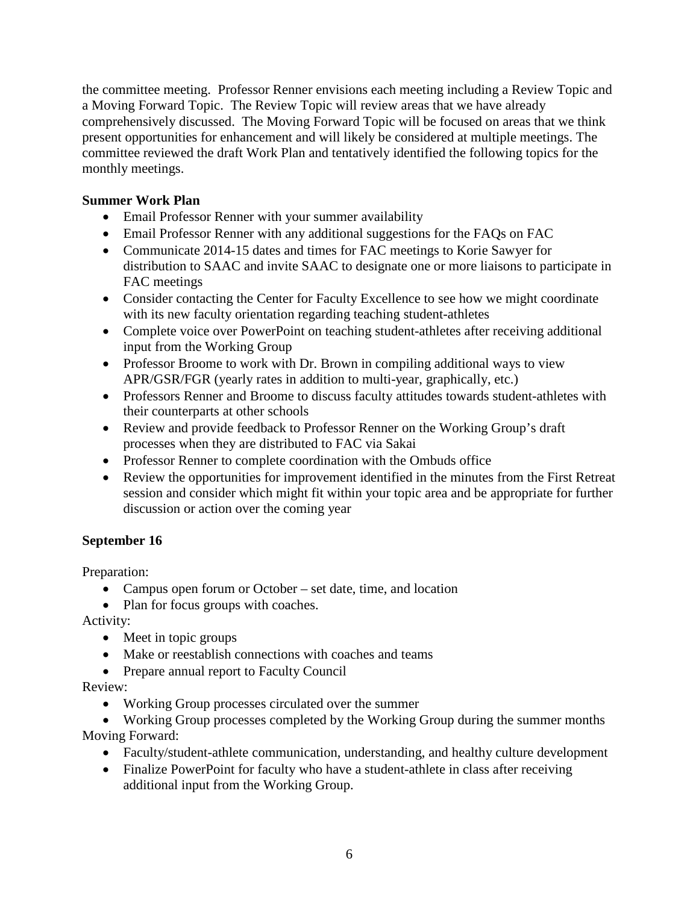the committee meeting. Professor Renner envisions each meeting including a Review Topic and a Moving Forward Topic. The Review Topic will review areas that we have already comprehensively discussed. The Moving Forward Topic will be focused on areas that we think present opportunities for enhancement and will likely be considered at multiple meetings. The committee reviewed the draft Work Plan and tentatively identified the following topics for the monthly meetings.

#### **Summer Work Plan**

- Email Professor Renner with your summer availability
- Email Professor Renner with any additional suggestions for the FAQs on FAC
- Communicate 2014-15 dates and times for FAC meetings to Korie Sawyer for distribution to SAAC and invite SAAC to designate one or more liaisons to participate in FAC meetings
- Consider contacting the Center for Faculty Excellence to see how we might coordinate with its new faculty orientation regarding teaching student-athletes
- Complete voice over PowerPoint on teaching student-athletes after receiving additional input from the Working Group
- Professor Broome to work with Dr. Brown in compiling additional ways to view APR/GSR/FGR (yearly rates in addition to multi-year, graphically, etc.)
- Professors Renner and Broome to discuss faculty attitudes towards student-athletes with their counterparts at other schools
- Review and provide feedback to Professor Renner on the Working Group's draft processes when they are distributed to FAC via Sakai
- Professor Renner to complete coordination with the Ombuds office
- Review the opportunities for improvement identified in the minutes from the First Retreat session and consider which might fit within your topic area and be appropriate for further discussion or action over the coming year

## **September 16**

Preparation:

- Campus open forum or October set date, time, and location
- Plan for focus groups with coaches.

Activity:

- Meet in topic groups
- Make or reestablish connections with coaches and teams
- Prepare annual report to Faculty Council

Review:

- Working Group processes circulated over the summer
- Working Group processes completed by the Working Group during the summer months Moving Forward:
	- Faculty/student-athlete communication, understanding, and healthy culture development
	- Finalize PowerPoint for faculty who have a student-athlete in class after receiving additional input from the Working Group.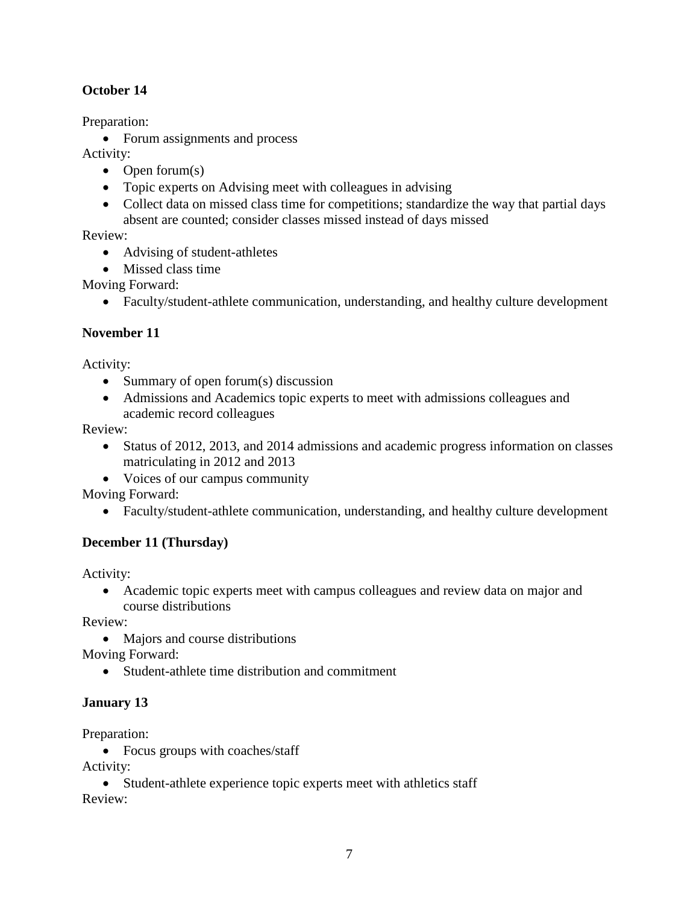## **October 14**

Preparation:

• Forum assignments and process

Activity:

- Open forum $(s)$
- Topic experts on Advising meet with colleagues in advising
- Collect data on missed class time for competitions; standardize the way that partial days absent are counted; consider classes missed instead of days missed

Review:

- Advising of student-athletes
- Missed class time

Moving Forward:

• Faculty/student-athlete communication, understanding, and healthy culture development

## **November 11**

Activity:

- Summary of open forum(s) discussion
- Admissions and Academics topic experts to meet with admissions colleagues and academic record colleagues

Review:

- Status of 2012, 2013, and 2014 admissions and academic progress information on classes matriculating in 2012 and 2013
- Voices of our campus community

Moving Forward:

• Faculty/student-athlete communication, understanding, and healthy culture development

# **December 11 (Thursday)**

Activity:

• Academic topic experts meet with campus colleagues and review data on major and course distributions

Review:

• Majors and course distributions

Moving Forward:

• Student-athlete time distribution and commitment

# **January 13**

Preparation:

• Focus groups with coaches/staff

Activity:

• Student-athlete experience topic experts meet with athletics staff Review: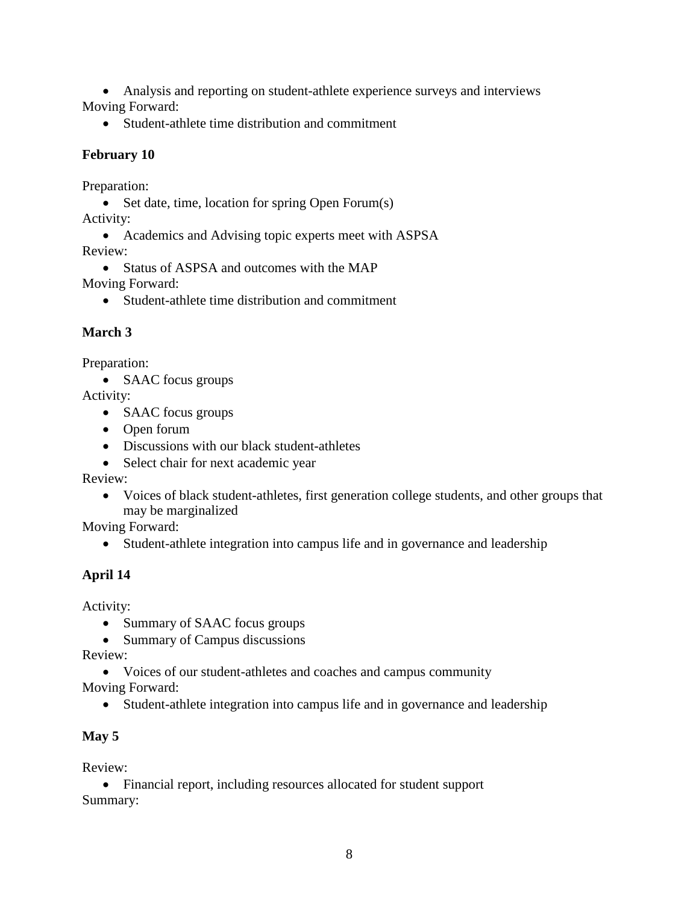• Analysis and reporting on student-athlete experience surveys and interviews Moving Forward:

• Student-athlete time distribution and commitment

## **February 10**

Preparation:

- Set date, time, location for spring Open Forum(s) Activity:
- Academics and Advising topic experts meet with ASPSA Review:
	- Status of ASPSA and outcomes with the MAP

Moving Forward:

• Student-athlete time distribution and commitment

## **March 3**

Preparation:

• SAAC focus groups

Activity:

- SAAC focus groups
- Open forum
- Discussions with our black student-athletes
- Select chair for next academic year

Review:

• Voices of black student-athletes, first generation college students, and other groups that may be marginalized

Moving Forward:

• Student-athlete integration into campus life and in governance and leadership

## **April 14**

Activity:

- Summary of SAAC focus groups
- Summary of Campus discussions

Review:

• Voices of our student-athletes and coaches and campus community

Moving Forward:

• Student-athlete integration into campus life and in governance and leadership

## **May 5**

Review:

• Financial report, including resources allocated for student support Summary: